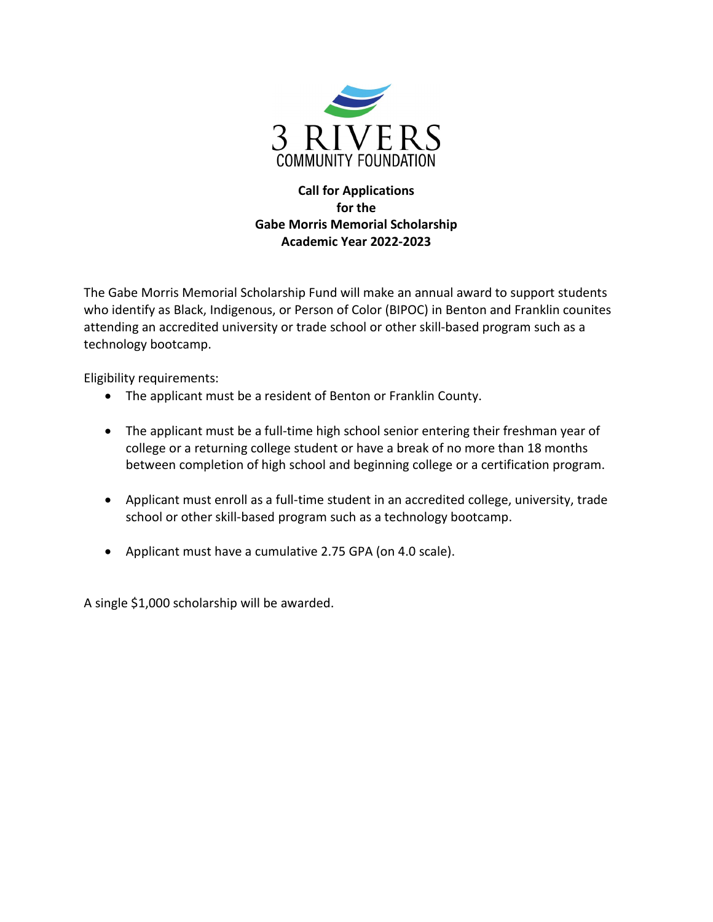

### **Call for Applications for the Gabe Morris Memorial Scholarship Academic Year 2022-2023**

The Gabe Morris Memorial Scholarship Fund will make an annual award to support students who identify as Black, Indigenous, or Person of Color (BIPOC) in Benton and Franklin counites attending an accredited university or trade school or other skill-based program such as a technology bootcamp.

Eligibility requirements:

- The applicant must be a resident of Benton or Franklin County.
- The applicant must be a full-time high school senior entering their freshman year of college or a returning college student or have a break of no more than 18 months between completion of high school and beginning college or a certification program.
- Applicant must enroll as a full-time student in an accredited college, university, trade school or other skill-based program such as a technology bootcamp.
- Applicant must have a cumulative 2.75 GPA (on 4.0 scale).

A single \$1,000 scholarship will be awarded.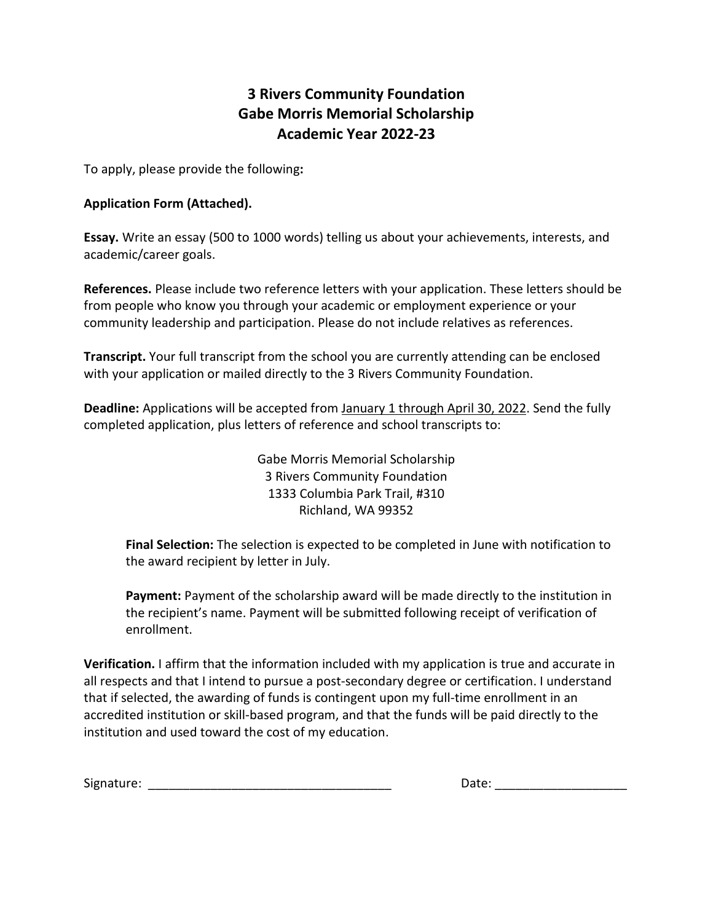# **3 Rivers Community Foundation Gabe Morris Memorial Scholarship Academic Year 2022-23**

To apply, please provide the following**:** 

#### **Application Form (Attached).**

**Essay.** Write an essay (500 to 1000 words) telling us about your achievements, interests, and academic/career goals.

**References.** Please include two reference letters with your application. These letters should be from people who know you through your academic or employment experience or your community leadership and participation. Please do not include relatives as references.

**Transcript.** Your full transcript from the school you are currently attending can be enclosed with your application or mailed directly to the 3 Rivers Community Foundation.

**Deadline:** Applications will be accepted from January 1 through April 30, 2022. Send the fully completed application, plus letters of reference and school transcripts to:

> Gabe Morris Memorial Scholarship 3 Rivers Community Foundation 1333 Columbia Park Trail, #310 Richland, WA 99352

**Final Selection:** The selection is expected to be completed in June with notification to the award recipient by letter in July.

**Payment:** Payment of the scholarship award will be made directly to the institution in the recipient's name. Payment will be submitted following receipt of verification of enrollment.

**Verification.** I affirm that the information included with my application is true and accurate in all respects and that I intend to pursue a post-secondary degree or certification. I understand that if selected, the awarding of funds is contingent upon my full-time enrollment in an accredited institution or skill-based program, and that the funds will be paid directly to the institution and used toward the cost of my education.

| Signature: |  |
|------------|--|
|------------|--|

Date:  $\Box$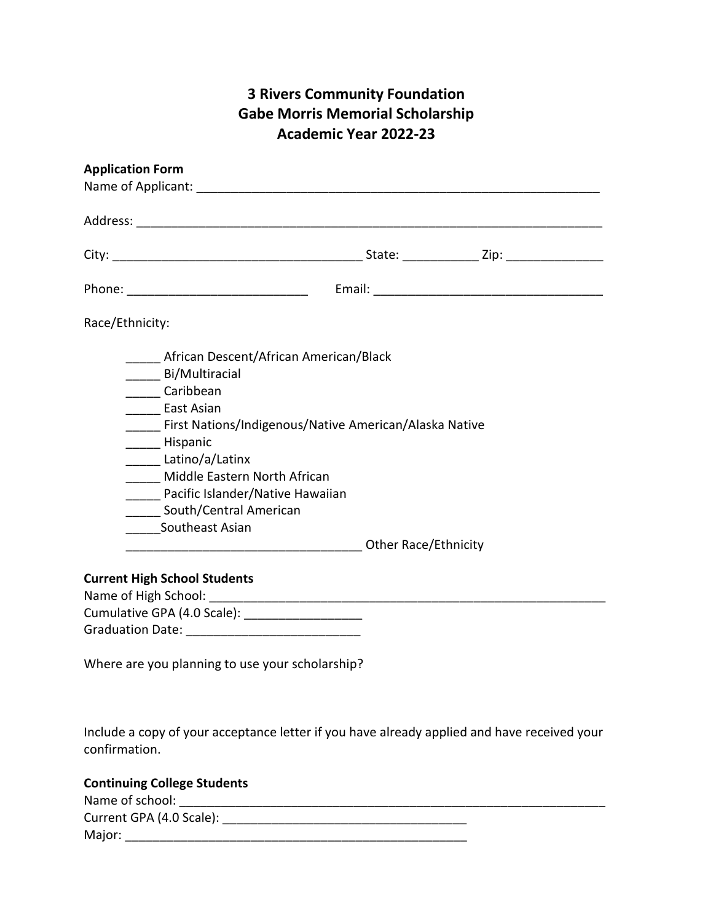# **3 Rivers Community Foundation Gabe Morris Memorial Scholarship Academic Year 2022-23**

| <b>Application Form</b>                                                                                                                                                                                                                                                                              |  |  |
|------------------------------------------------------------------------------------------------------------------------------------------------------------------------------------------------------------------------------------------------------------------------------------------------------|--|--|
|                                                                                                                                                                                                                                                                                                      |  |  |
|                                                                                                                                                                                                                                                                                                      |  |  |
|                                                                                                                                                                                                                                                                                                      |  |  |
| Race/Ethnicity:                                                                                                                                                                                                                                                                                      |  |  |
| African Descent/African American/Black<br>______ Bi/Multiracial<br>Caribbean<br>East Asian<br>First Nations/Indigenous/Native American/Alaska Native<br>Hispanic<br>Latino/a/Latinx<br>Middle Eastern North African<br>Pacific Islander/Native Hawaiian<br>South/Central American<br>Southeast Asian |  |  |
| <b>Current High School Students</b>                                                                                                                                                                                                                                                                  |  |  |
| Cumulative GPA (4.0 Scale):                                                                                                                                                                                                                                                                          |  |  |
| Where are you planning to use your scholarship?                                                                                                                                                                                                                                                      |  |  |

Include a copy of your acceptance letter if you have already applied and have received your confirmation.

### **Continuing College Students**

| Name of school:          |  |
|--------------------------|--|
| Current GPA (4.0 Scale): |  |
| Major:                   |  |